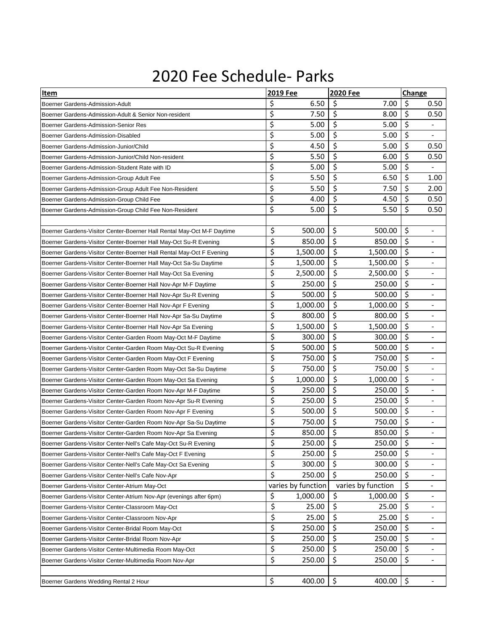## 2020 Fee Schedule- Parks

| Item                                                                   | 2019 Fee           | <b>2020 Fee</b>    | Change |                              |
|------------------------------------------------------------------------|--------------------|--------------------|--------|------------------------------|
| Boerner Gardens-Admission-Adult                                        | \$<br>6.50         | \$<br>7.00         | \$     | 0.50                         |
| Boerner Gardens-Admission-Adult & Senior Non-resident                  | \$<br>7.50         | \$<br>8.00         | \$     | 0.50                         |
| Boerner Gardens-Admission-Senior Res                                   | \$<br>5.00         | \$<br>5.00         | \$     | $\overline{\phantom{a}}$     |
| Boerner Gardens-Admission-Disabled                                     | \$<br>5.00         | \$<br>5.00         | \$     | $\qquad \qquad \blacksquare$ |
| Boerner Gardens-Admission-Junior/Child                                 | \$<br>4.50         | \$<br>5.00         | \$     | 0.50                         |
| Boerner Gardens-Admission-Junior/Child Non-resident                    | \$<br>5.50         | \$<br>6.00         | \$     | 0.50                         |
| Boerner Gardens-Admission-Student Rate with ID                         | \$<br>5.00         | \$<br>5.00         | \$     |                              |
| Boerner Gardens-Admission-Group Adult Fee                              | \$<br>5.50         | \$<br>6.50         | \$     | 1.00                         |
| Boerner Gardens-Admission-Group Adult Fee Non-Resident                 | \$<br>5.50         | \$<br>7.50         | \$     | 2.00                         |
| Boerner Gardens-Admission-Group Child Fee                              | \$<br>4.00         | \$<br>4.50         | \$     | 0.50                         |
| Boerner Gardens-Admission-Group Child Fee Non-Resident                 | \$<br>5.00         | \$<br>5.50         | \$     | 0.50                         |
|                                                                        |                    |                    |        |                              |
| Boerner Gardens-Visitor Center-Boerner Hall Rental May-Oct M-F Daytime | \$<br>500.00       | \$<br>500.00       | \$     | $\overline{\phantom{a}}$     |
| Boerner Gardens-Visitor Center-Boerner Hall May-Oct Su-R Evening       | \$<br>850.00       | \$<br>850.00       | \$     |                              |
| Boerner Gardens-Visitor Center-Boerner Hall Rental May-Oct F Evening   | \$<br>1,500.00     | \$<br>1,500.00     | \$     | $\overline{\phantom{0}}$     |
| Boerner Gardens-Visitor Center-Boerner Hall May-Oct Sa-Su Daytime      | \$<br>1,500.00     | \$<br>1,500.00     | \$     |                              |
| Boerner Gardens-Visitor Center-Boerner Hall May-Oct Sa Evening         | \$<br>2,500.00     | \$<br>2,500.00     | \$     | $\overline{\phantom{a}}$     |
| Boerner Gardens-Visitor Center-Boerner Hall Nov-Apr M-F Daytime        | \$<br>250.00       | \$<br>250.00       | \$     |                              |
| Boerner Gardens-Visitor Center-Boerner Hall Nov-Apr Su-R Evening       | \$<br>500.00       | \$<br>500.00       | \$     |                              |
| Boerner Gardens-Visitor Center-Boerner Hall Nov-Apr F Evening          | \$<br>1,000.00     | \$<br>1,000.00     | \$     |                              |
| Boerner Gardens-Visitor Center-Boerner Hall Nov-Apr Sa-Su Daytime      | \$<br>800.00       | \$<br>800.00       | \$     |                              |
| Boerner Gardens-Visitor Center-Boerner Hall Nov-Apr Sa Evening         | \$<br>1,500.00     | \$<br>1,500.00     | \$     | $\overline{a}$               |
| Boerner Gardens-Visitor Center-Garden Room May-Oct M-F Daytime         | \$<br>300.00       | \$<br>300.00       | \$     |                              |
| Boerner Gardens-Visitor Center-Garden Room May-Oct Su-R Evening        | \$<br>500.00       | \$<br>500.00       | \$     | $\overline{\phantom{0}}$     |
| Boerner Gardens-Visitor Center-Garden Room May-Oct F Evening           | \$<br>750.00       | \$<br>750.00       | \$     |                              |
| Boerner Gardens-Visitor Center-Garden Room May-Oct Sa-Su Daytime       | \$<br>750.00       | \$<br>750.00       | \$     | $\overline{\phantom{0}}$     |
| Boerner Gardens-Visitor Center-Garden Room May-Oct Sa Evening          | \$<br>1,000.00     | \$<br>1,000.00     | \$     | $\overline{a}$               |
| Boerner Gardens-Visitor Center-Garden Room Nov-Apr M-F Daytime         | \$<br>250.00       | \$<br>250.00       | \$     | $\qquad \qquad \blacksquare$ |
| Boerner Gardens-Visitor Center-Garden Room Nov-Apr Su-R Evening        | \$<br>250.00       | \$<br>250.00       | \$     | $\overline{\phantom{a}}$     |
| Boerner Gardens-Visitor Center-Garden Room Nov-Apr F Evening           | \$<br>500.00       | \$<br>500.00       | \$     |                              |
| Boerner Gardens-Visitor Center-Garden Room Nov-Apr Sa-Su Daytime       | \$<br>750.00       | \$<br>750.00       | \$     | $\overline{\phantom{0}}$     |
| Boerner Gardens-Visitor Center-Garden Room Nov-Apr Sa Evening          | \$<br>850.00       | \$<br>850.00       | \$     | $\overline{a}$               |
| Boerner Gardens-Visitor Center-Nell's Cafe May-Oct Su-R Evening        | \$<br>250.00       | \$<br>250.00       | \$     | $\overline{\phantom{a}}$     |
| Boerner Gardens-Visitor Center-Nell's Cafe May-Oct F Evening           | \$<br>250.00       | \$<br>250.00       | \$     |                              |
| Boerner Gardens-Visitor Center-Nell's Cafe May-Oct Sa Evening          | \$<br>300.00       | \$<br>300.00       | \$     | $\overline{\phantom{a}}$     |
| Boerner Gardens-Visitor Center-Nell's Cafe Nov-Apr                     | \$<br>250.00       | \$<br>250.00       | \$     |                              |
| Boerner Gardens-Visitor Center-Atrium May-Oct                          | varies by function | varies by function | \$     |                              |
| Boerner Gardens-Visitor Center-Atrium Nov-Apr (evenings after 6pm)     | \$<br>1,000.00     | \$<br>1,000.00     | \$     |                              |
| Boerner Gardens-Visitor Center-Classroom May-Oct                       | \$<br>25.00        | \$<br>25.00        | \$     | -                            |
| Boerner Gardens-Visitor Center-Classroom Nov-Apr                       | \$<br>25.00        | \$<br>25.00        | \$     | $\overline{\phantom{a}}$     |
| Boerner Gardens-Visitor Center-Bridal Room May-Oct                     | \$<br>250.00       | \$<br>250.00       | \$     |                              |
| Boerner Gardens-Visitor Center-Bridal Room Nov-Apr                     | \$<br>250.00       | \$<br>250.00       | \$     | $\qquad \qquad \blacksquare$ |
| Boerner Gardens-Visitor Center-Multimedia Room May-Oct                 | \$<br>250.00       | \$<br>250.00       | \$     | $\overline{\phantom{0}}$     |
| Boerner Gardens-Visitor Center-Multimedia Room Nov-Apr                 | \$<br>250.00       | \$<br>250.00       | \$     | $\overline{\phantom{a}}$     |
|                                                                        |                    |                    |        |                              |
| Boerner Gardens Wedding Rental 2 Hour                                  | \$<br>400.00       | \$<br>400.00       | \$     | $\qquad \qquad \blacksquare$ |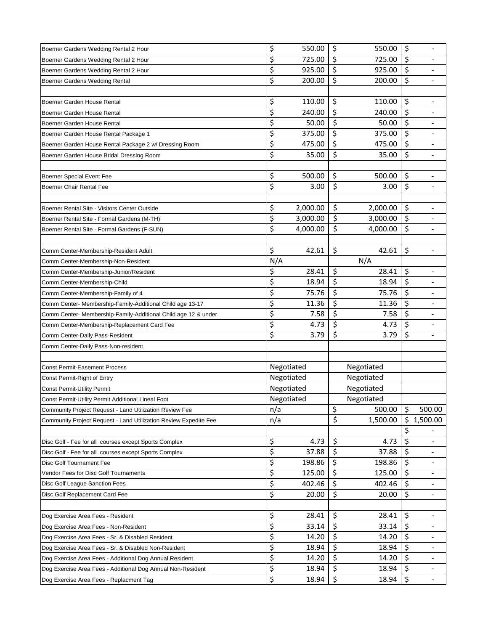|                                                                  | \$  | 550.00     | \$<br>550.00   | \$      |                              |
|------------------------------------------------------------------|-----|------------|----------------|---------|------------------------------|
| Boerner Gardens Wedding Rental 2 Hour                            | \$  | 725.00     | \$<br>725.00   | \$      |                              |
| Boerner Gardens Wedding Rental 2 Hour                            | \$  | 925.00     | \$<br>925.00   | $\zeta$ |                              |
| Boerner Gardens Wedding Rental 2 Hour                            | \$  | 200.00     | \$<br>200.00   | \$      |                              |
| Boerner Gardens Wedding Rental                                   |     |            |                |         |                              |
|                                                                  |     |            |                |         |                              |
| Boerner Garden House Rental                                      | \$  | 110.00     | \$<br>110.00   | \$      |                              |
| Boerner Garden House Rental                                      | \$  | 240.00     | \$<br>240.00   | \$      |                              |
| Boerner Garden House Rental                                      | \$  | 50.00      | \$<br>50.00    | \$      |                              |
| Boerner Garden House Rental Package 1                            | \$  | 375.00     | \$<br>375.00   | \$      |                              |
| Boerner Garden House Rental Package 2 w/ Dressing Room           | \$  | 475.00     | \$<br>475.00   | \$      |                              |
| Boerner Garden House Bridal Dressing Room                        | \$  | 35.00      | \$<br>35.00    | \$      |                              |
|                                                                  |     |            |                |         |                              |
| Boerner Special Event Fee                                        | \$  | 500.00     | \$<br>500.00   | $\zeta$ |                              |
| Boerner Chair Rental Fee                                         | \$  | 3.00       | \$<br>3.00     | $\zeta$ |                              |
|                                                                  |     |            |                |         |                              |
| Boerner Rental Site - Visitors Center Outside                    | \$  | 2,000.00   | \$<br>2,000.00 | \$      | $\overline{\phantom{a}}$     |
| Boerner Rental Site - Formal Gardens (M-TH)                      | \$  | 3,000.00   | \$<br>3,000.00 | \$      |                              |
| Boerner Rental Site - Formal Gardens (F-SUN)                     | \$  | 4,000.00   | \$<br>4,000.00 | \$      |                              |
|                                                                  |     |            |                |         |                              |
| Comm Center-Membership-Resident Adult                            | \$  | 42.61      | \$<br>42.61    | \$      | $\overline{\phantom{a}}$     |
| Comm Center-Membership-Non-Resident                              | N/A |            | N/A            |         |                              |
| Comm Center-Membership-Junior/Resident                           | \$  | 28.41      | \$<br>28.41    | $\zeta$ |                              |
| Comm Center-Membership-Child                                     | \$  | 18.94      | \$<br>18.94    | \$      |                              |
| Comm Center-Membership-Family of 4                               | \$  | 75.76      | \$<br>75.76    | \$      | $\qquad \qquad \blacksquare$ |
| Comm Center- Membership-Family-Additional Child age 13-17        | \$  | 11.36      | \$<br>11.36    | \$      |                              |
| Comm Center- Membership-Family-Additional Child age 12 & under   | \$  | 7.58       | \$<br>7.58     | \$      |                              |
| Comm Center-Membership-Replacement Card Fee                      | \$  | 4.73       | \$<br>4.73     | \$      |                              |
| Comm Center-Daily Pass-Resident                                  | \$  | 3.79       | \$<br>3.79     | \$      |                              |
| Comm Center-Daily Pass-Non-resident                              |     |            |                |         |                              |
|                                                                  |     |            |                |         |                              |
| <b>Const Permit-Easement Process</b>                             |     | Negotiated | Negotiated     |         |                              |
| Const Permit-Right of Entry                                      |     | Negotiated | Negotiated     |         |                              |
| <b>Const Permit-Utility Permit</b>                               |     | Negotiated | Negotiated     |         |                              |
| Const Permit-Utility Permit Additional Lineal Foot               |     | Negotiated | Negotiated     |         |                              |
| Community Project Request - Land Utilization Review Fee          | n/a |            | \$<br>500.00   | \$      | 500.00                       |
| Community Project Request - Land Utilization Review Expedite Fee | n/a |            | \$<br>1,500.00 | \$      | 1,500.00                     |
|                                                                  |     |            |                | \$      |                              |
| Disc Golf - Fee for all courses except Sports Complex            | \$  | 4.73       | \$<br>4.73     | \$      |                              |
| Disc Golf - Fee for all courses except Sports Complex            | \$  | 37.88      | \$<br>37.88    | \$      |                              |
| Disc Golf Tournament Fee                                         | \$  | 198.86     | \$<br>198.86   | \$      |                              |
| Vendor Fees for Disc Golf Tournaments                            | \$  | 125.00     | \$<br>125.00   | $\zeta$ |                              |
| Disc Golf League Sanction Fees                                   | \$  | 402.46     | \$<br>402.46   | \$      |                              |
| Disc Golf Replacement Card Fee                                   | \$  | 20.00      | \$<br>20.00    | \$      |                              |
|                                                                  |     |            |                |         |                              |
| Dog Exercise Area Fees - Resident                                | \$  | 28.41      | \$<br>28.41    | \$      |                              |
| Dog Exercise Area Fees - Non-Resident                            | \$  | 33.14      | \$<br>33.14    | \$      |                              |
| Dog Exercise Area Fees - Sr. & Disabled Resident                 | \$  | 14.20      | \$<br>14.20    | \$      | $\overline{\phantom{a}}$     |
| Dog Exercise Area Fees - Sr. & Disabled Non-Resident             | \$  | 18.94      | \$<br>18.94    | $\zeta$ |                              |
| Dog Exercise Area Fees - Additional Dog Annual Resident          | \$  | 14.20      | \$<br>14.20    | \$      |                              |
| Dog Exercise Area Fees - Additional Dog Annual Non-Resident      | \$  | 18.94      | \$<br>18.94    | \$      |                              |
| Dog Exercise Area Fees - Replacment Tag                          | \$  | 18.94      | \$<br>18.94    | \$      |                              |
|                                                                  |     |            |                |         |                              |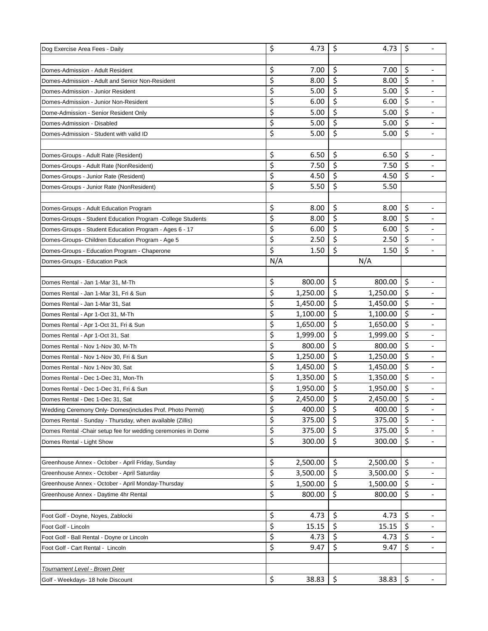| Dog Exercise Area Fees - Daily                               | \$  | 4.73     | \$                       | 4.73     | $\zeta$ | $\overline{\phantom{a}}$ |
|--------------------------------------------------------------|-----|----------|--------------------------|----------|---------|--------------------------|
|                                                              |     |          |                          |          |         |                          |
| Domes-Admission - Adult Resident                             | \$  | 7.00     | \$                       | 7.00     | \$      |                          |
| Domes-Admission - Adult and Senior Non-Resident              | \$  | 8.00     | \$                       | 8.00     | \$      |                          |
| Domes-Admission - Junior Resident                            | \$  | 5.00     | \$                       | 5.00     | \$      |                          |
| Domes-Admission - Junior Non-Resident                        | \$  | 6.00     | \$                       | 6.00     | \$      | $\overline{\phantom{a}}$ |
| Dome-Admission - Senior Resident Only                        | \$  | 5.00     | \$                       | 5.00     | \$      |                          |
| Domes-Admission - Disabled                                   | \$  | 5.00     | \$                       | 5.00     | \$      |                          |
| Domes-Admission - Student with valid ID                      | \$  | 5.00     | \$                       | 5.00     | $\zeta$ |                          |
|                                                              |     |          |                          |          |         |                          |
| Domes-Groups - Adult Rate (Resident)                         | \$  | 6.50     | \$                       | 6.50     | \$      |                          |
| Domes-Groups - Adult Rate (NonResident)                      | \$  | 7.50     | \$                       | 7.50     | \$      |                          |
| Domes-Groups - Junior Rate (Resident)                        | \$  | 4.50     | \$                       | 4.50     | $\zeta$ |                          |
| Domes-Groups - Junior Rate (NonResident)                     | \$  | 5.50     | \$                       | 5.50     |         |                          |
|                                                              |     |          |                          |          |         |                          |
| Domes-Groups - Adult Education Program                       | \$  | 8.00     | \$                       | 8.00     | $\zeta$ |                          |
| Domes-Groups - Student Education Program - College Students  | \$  | 8.00     | \$                       | 8.00     | \$      |                          |
| Domes-Groups - Student Education Program - Ages 6 - 17       | \$  | 6.00     | $\zeta$                  | 6.00     | \$      |                          |
| Domes-Groups- Children Education Program - Age 5             | \$  | 2.50     | \$                       | 2.50     | \$      | $\overline{\phantom{a}}$ |
| Domes-Groups - Education Program - Chaperone                 | \$  | 1.50     | \$                       | 1.50     | \$      | $\blacksquare$           |
| Domes-Groups - Education Pack                                | N/A |          |                          | N/A      |         |                          |
|                                                              |     |          |                          |          |         |                          |
| Domes Rental - Jan 1-Mar 31, M-Th                            | \$  | 800.00   | \$                       | 800.00   | \$      |                          |
| Domes Rental - Jan 1-Mar 31, Fri & Sun                       | \$  | 1,250.00 | \$                       | 1,250.00 | \$      | $\overline{\phantom{a}}$ |
| Domes Rental - Jan 1-Mar 31, Sat                             | \$  | 1,450.00 | \$                       | 1,450.00 | $\zeta$ |                          |
| Domes Rental - Apr 1-Oct 31, M-Th                            | \$  | 1,100.00 | \$                       | 1,100.00 | \$      |                          |
| Domes Rental - Apr 1-Oct 31, Fri & Sun                       | \$  | 1,650.00 | $\overline{\mathcal{S}}$ | 1,650.00 | \$      |                          |
| Domes Rental - Apr 1-Oct 31, Sat                             | \$  | 1,999.00 | \$                       | 1,999.00 | \$      |                          |
| Domes Rental - Nov 1-Nov 30, M-Th                            | \$  | 800.00   | \$                       | 800.00   | \$      |                          |
| Domes Rental - Nov 1-Nov 30, Fri & Sun                       | \$  | 1,250.00 | \$                       | 1,250.00 | \$      |                          |
| Domes Rental - Nov 1-Nov 30, Sat                             | \$  | 1,450.00 | \$                       | 1,450.00 | \$      |                          |
| Domes Rental - Dec 1-Dec 31, Mon-Th                          | \$  | 1,350.00 | \$                       | 1,350.00 | \$      |                          |
| Domes Rental - Dec 1-Dec 31, Fri & Sun                       | \$  | 1,950.00 | \$                       | 1,950.00 | \$      | $\overline{\phantom{a}}$ |
| Domes Rental - Dec 1-Dec 31, Sat                             | \$  | 2,450.00 | \$                       | 2,450.00 | \$      |                          |
| Wedding Ceremony Only-Domes (includes Prof. Photo Permit)    | \$  | 400.00   | \$                       | 400.00   | $\zeta$ |                          |
| Domes Rental - Sunday - Thursday, when available (Zillis)    | \$  | 375.00   | \$                       | 375.00   | \$      |                          |
| Domes Rental -Chair setup fee for wedding ceremonies in Dome | \$  | 375.00   | \$                       | 375.00   | \$      |                          |
| Domes Rental - Light Show                                    | \$  | 300.00   | \$                       | 300.00   | \$      | $\overline{\phantom{a}}$ |
|                                                              |     |          |                          |          |         |                          |
| Greenhouse Annex - October - April Friday, Sunday            | \$  | 2,500.00 | \$                       | 2,500.00 | \$      |                          |
| Greenhouse Annex - October - April Saturday                  | \$  | 3,500.00 | \$                       | 3,500.00 | \$      |                          |
| Greenhouse Annex - October - April Monday-Thursday           | \$  | 1,500.00 | \$                       | 1,500.00 | $\zeta$ | $\overline{\phantom{a}}$ |
| Greenhouse Annex - Daytime 4hr Rental                        | \$  | 800.00   | \$                       | 800.00   | $\zeta$ |                          |
|                                                              |     |          |                          |          |         |                          |
| Foot Golf - Doyne, Noyes, Zablocki                           | \$  | 4.73     | \$                       | 4.73     | \$      |                          |
| Foot Golf - Lincoln                                          | \$  | 15.15    | \$                       | 15.15    | \$      | $\overline{\phantom{a}}$ |
| Foot Golf - Ball Rental - Doyne or Lincoln                   | \$  | 4.73     | \$                       | 4.73     | \$      | $\overline{\phantom{a}}$ |
| Foot Golf - Cart Rental - Lincoln                            | \$  | 9.47     | \$                       | 9.47     | \$      |                          |
|                                                              |     |          |                          |          |         |                          |
| Tournament Level - Brown Deer                                |     |          |                          |          |         |                          |
| Golf - Weekdays- 18 hole Discount                            | \$  | 38.83    | \$                       | 38.83    | \$      |                          |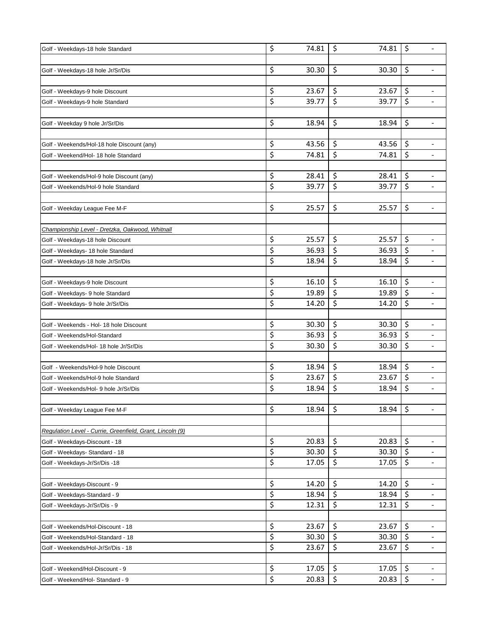| Golf - Weekdays-18 hole Standard                          | \$       | 74.81          | \$<br>74.81                | \$<br>$\overline{a}$           |
|-----------------------------------------------------------|----------|----------------|----------------------------|--------------------------------|
|                                                           |          |                |                            |                                |
| Golf - Weekdays-18 hole Jr/Sr/Dis                         | \$       | 30.30          | \$<br>30.30                | \$<br>$\overline{\phantom{0}}$ |
|                                                           |          |                |                            |                                |
| Golf - Weekdays-9 hole Discount                           | \$       | 23.67          | \$<br>23.67                | \$                             |
| Golf - Weekdays-9 hole Standard                           | \$       | 39.77          | \$<br>39.77                | \$<br>$\overline{\phantom{a}}$ |
|                                                           |          |                |                            |                                |
| Golf - Weekday 9 hole Jr/Sr/Dis                           | \$       | 18.94          | \$<br>18.94                | \$<br>$\overline{\phantom{a}}$ |
|                                                           |          |                |                            |                                |
| Golf - Weekends/Hol-18 hole Discount (any)                | \$       | 43.56          | \$<br>43.56                | \$<br>-                        |
| Golf - Weekend/Hol- 18 hole Standard                      | \$       | 74.81          | \$<br>74.81                | \$<br>$\overline{\phantom{a}}$ |
|                                                           |          |                |                            |                                |
| Golf - Weekends/Hol-9 hole Discount (any)                 | \$       | 28.41          | \$<br>28.41                | \$                             |
| Golf - Weekends/Hol-9 hole Standard                       | \$       | 39.77          | \$<br>39.77                | \$                             |
|                                                           |          |                |                            |                                |
| Golf - Weekday League Fee M-F                             | \$       | 25.57          | \$<br>25.57                | \$<br>$\overline{\phantom{a}}$ |
|                                                           |          |                |                            |                                |
| Championship Level - Dretzka, Oakwood, Whitnall           |          |                |                            |                                |
| Golf - Weekdays-18 hole Discount                          | \$       | 25.57          | \$<br>25.57                | \$                             |
| Golf - Weekdays- 18 hole Standard                         | \$       | 36.93          | \$<br>36.93                | \$<br>$\overline{\phantom{0}}$ |
| Golf - Weekdays-18 hole Jr/Sr/Dis                         | \$       | 18.94          | \$<br>18.94                | \$<br>$\overline{\phantom{0}}$ |
|                                                           |          |                |                            |                                |
| Golf - Weekdays-9 hole Discount                           | \$       | 16.10          | \$<br>16.10                | \$                             |
| Golf - Weekdays- 9 hole Standard                          | \$       | 19.89          | \$<br>19.89                | \$<br>$\overline{\phantom{a}}$ |
| Golf - Weekdays- 9 hole Jr/Sr/Dis                         | \$       | 14.20          | \$<br>14.20                | \$<br>$\overline{\phantom{a}}$ |
|                                                           |          |                |                            |                                |
| Golf - Weekends - Hol- 18 hole Discount                   | \$<br>\$ | 30.30<br>36.93 | \$<br>30.30<br>\$<br>36.93 | \$<br>$\overline{a}$<br>\$     |
| Golf - Weekends/Hol-Standard                              | \$       | 30.30          | \$<br>30.30                | \$<br>$\overline{\phantom{a}}$ |
| Golf - Weekends/Hol- 18 hole Jr/Sr/Dis                    |          |                |                            |                                |
| Golf - Weekends/Hol-9 hole Discount                       | \$       | 18.94          | \$<br>18.94                | \$                             |
| Golf - Weekends/Hol-9 hole Standard                       | \$       | 23.67          | \$<br>23.67                | \$                             |
| Golf - Weekends/Hol- 9 hole Jr/Sr/Dis                     | \$       | 18.94          | \$<br>18.94                | \$<br>$\overline{\phantom{a}}$ |
|                                                           |          |                |                            |                                |
| Golf - Weekday League Fee M-F                             | \$       | 18.94          | \$<br>18.94                | \$                             |
|                                                           |          |                |                            |                                |
| Requlation Level - Currie, Greenfield, Grant, Lincoln (9) |          |                |                            |                                |
| Golf - Weekdays-Discount - 18                             | \$       | 20.83          | \$<br>20.83                | \$<br>$\overline{\phantom{a}}$ |
| Golf - Weekdays- Standard - 18                            | \$       | 30.30          | \$<br>30.30                | \$                             |
| Golf - Weekdays-Jr/Sr/Dis -18                             | \$       | 17.05          | \$<br>17.05                | \$<br>$\overline{\phantom{0}}$ |
|                                                           |          |                |                            |                                |
| Golf - Weekdays-Discount - 9                              | \$       | 14.20          | \$<br>14.20                | \$<br>$\overline{\phantom{a}}$ |
| Golf - Weekdays-Standard - 9                              | \$       | 18.94          | \$<br>18.94                | \$<br>$\overline{\phantom{a}}$ |
| Golf - Weekdays-Jr/Sr/Dis - 9                             | \$       | 12.31          | \$<br>12.31                | \$<br>$\overline{\phantom{0}}$ |
|                                                           |          |                |                            |                                |
| Golf - Weekends/Hol-Discount - 18                         | \$       | 23.67          | \$<br>23.67                | \$<br>$\overline{\phantom{0}}$ |
| Golf - Weekends/Hol-Standard - 18                         | \$       | 30.30          | \$<br>30.30                | \$<br>$\overline{\phantom{a}}$ |
| Golf - Weekends/Hol-Jr/Sr/Dis - 18                        | \$       | 23.67          | \$<br>23.67                | \$<br>$\overline{a}$           |
|                                                           |          |                |                            |                                |
| Golf - Weekend/Hol-Discount - 9                           | \$       | 17.05          | \$<br>17.05                | \$                             |
| Golf - Weekend/Hol- Standard - 9                          | \$       | 20.83          | \$<br>20.83                | \$<br>$\overline{\phantom{a}}$ |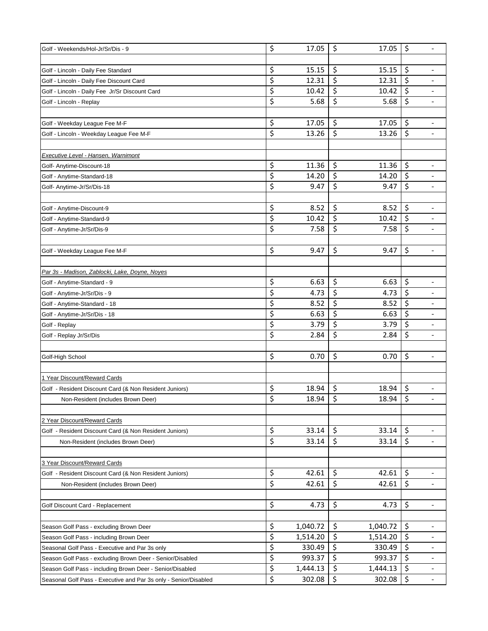| Golf - Weekends/Hol-Jr/Sr/Dis - 9                                | \$ | 17.05    | \$<br>17.05    | \$<br>$\overline{\phantom{0}}$     |
|------------------------------------------------------------------|----|----------|----------------|------------------------------------|
|                                                                  |    |          |                |                                    |
| Golf - Lincoln - Daily Fee Standard                              | \$ | 15.15    | \$<br>15.15    | \$                                 |
| Golf - Lincoln - Daily Fee Discount Card                         | \$ | 12.31    | \$<br>12.31    | \$                                 |
| Golf - Lincoln - Daily Fee Jr/Sr Discount Card                   | \$ | 10.42    | \$<br>10.42    | \$                                 |
| Golf - Lincoln - Replay                                          | \$ | 5.68     | \$<br>5.68     | \$<br>$\overline{\phantom{a}}$     |
|                                                                  |    |          |                |                                    |
| Golf - Weekday League Fee M-F                                    | \$ | 17.05    | \$<br>17.05    | \$                                 |
| Golf - Lincoln - Weekday League Fee M-F                          | \$ | 13.26    | \$<br>13.26    | \$                                 |
|                                                                  |    |          |                |                                    |
| <b>Executive Level - Hansen, Warnimont</b>                       |    |          |                |                                    |
| Golf- Anytime-Discount-18                                        | \$ | 11.36    | \$<br>11.36    | \$                                 |
| Golf - Anytime-Standard-18                                       | \$ | 14.20    | \$<br>14.20    | \$<br>$\qquad \qquad \blacksquare$ |
| Golf- Anytime-Jr/Sr/Dis-18                                       | \$ | 9.47     | \$<br>9.47     | \$                                 |
|                                                                  |    |          |                |                                    |
| Golf - Anytime-Discount-9                                        | \$ | 8.52     | \$<br>8.52     | \$<br>$\overline{\phantom{0}}$     |
| Golf - Anytime-Standard-9                                        | \$ | 10.42    | \$<br>10.42    | \$                                 |
| Golf - Anytime-Jr/Sr/Dis-9                                       | \$ | 7.58     | \$<br>7.58     | \$                                 |
|                                                                  |    |          |                |                                    |
| Golf - Weekday League Fee M-F                                    | \$ | 9.47     | \$<br>9.47     | \$<br>$\overline{\phantom{a}}$     |
|                                                                  |    |          |                |                                    |
| Par 3s - Madison, Zablocki, Lake, Doyne, Noyes                   |    |          |                |                                    |
| Golf - Anytime-Standard - 9                                      | \$ | 6.63     | \$<br>6.63     | \$                                 |
| Golf - Anytime-Jr/Sr/Dis - 9                                     | \$ | 4.73     | \$<br>4.73     | \$<br>-                            |
| Golf - Anytime-Standard - 18                                     | \$ | 8.52     | \$<br>8.52     | \$<br>$\qquad \qquad \blacksquare$ |
| Golf - Anytime-Jr/Sr/Dis - 18                                    | \$ | 6.63     | \$<br>6.63     | \$                                 |
| Golf - Replay                                                    | \$ | 3.79     | \$<br>3.79     | \$                                 |
| Golf - Replay Jr/Sr/Dis                                          | \$ | 2.84     | \$<br>2.84     | \$<br>$\overline{\phantom{0}}$     |
|                                                                  |    |          |                |                                    |
| Golf-High School                                                 | \$ | 0.70     | \$<br>0.70     | \$<br>$\overline{\phantom{a}}$     |
|                                                                  |    |          |                |                                    |
| 1 Year Discount/Reward Cards                                     |    |          |                |                                    |
| Golf - Resident Discount Card (& Non Resident Juniors)           | \$ | 18.94    | \$<br>18.94    | \$<br>-                            |
| Non-Resident (includes Brown Deer)                               | Ś  | 18.94    | \$<br>18.94    | \$                                 |
|                                                                  |    |          |                |                                    |
| 2 Year Discount/Reward Cards                                     |    |          |                |                                    |
| Golf - Resident Discount Card (& Non Resident Juniors)           | \$ | 33.14    | \$<br>33.14    | \$<br>-                            |
| Non-Resident (includes Brown Deer)                               | \$ | 33.14    | \$<br>33.14    | \$<br>$\overline{\phantom{a}}$     |
|                                                                  |    |          |                |                                    |
| 3 Year Discount/Reward Cards                                     |    |          |                |                                    |
| Golf - Resident Discount Card (& Non Resident Juniors)           | \$ | 42.61    | \$<br>42.61    | \$                                 |
| Non-Resident (includes Brown Deer)                               | \$ | 42.61    | \$<br>42.61    | \$<br>$\overline{\phantom{a}}$     |
|                                                                  |    |          |                |                                    |
| Golf Discount Card - Replacement                                 | \$ | 4.73     | \$<br>4.73     | \$<br>$\overline{\phantom{0}}$     |
|                                                                  |    |          |                |                                    |
| Season Golf Pass - excluding Brown Deer                          | \$ | 1,040.72 | \$<br>1,040.72 | \$<br>-                            |
| Season Golf Pass - including Brown Deer                          | \$ | 1,514.20 | \$<br>1,514.20 | \$<br>$\overline{\phantom{a}}$     |
| Seasonal Golf Pass - Executive and Par 3s only                   | \$ | 330.49   | \$<br>330.49   | \$                                 |
| Season Golf Pass - excluding Brown Deer - Senior/Disabled        | \$ | 993.37   | \$<br>993.37   | \$                                 |
| Season Golf Pass - including Brown Deer - Senior/Disabled        | \$ | 1,444.13 | \$<br>1,444.13 | \$                                 |
| Seasonal Golf Pass - Executive and Par 3s only - Senior/Disabled | \$ | 302.08   | \$<br>302.08   | \$<br>$\overline{\phantom{a}}$     |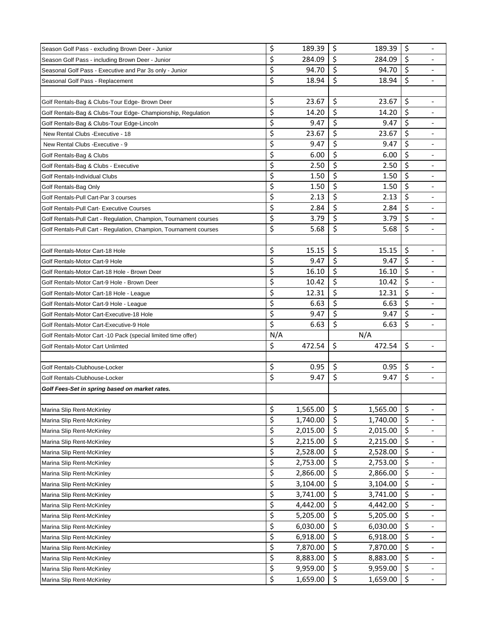| Season Golf Pass - excluding Brown Deer - Junior                  | \$       | 189.39   | \$       | 189.39   | \$      |                              |
|-------------------------------------------------------------------|----------|----------|----------|----------|---------|------------------------------|
| Season Golf Pass - including Brown Deer - Junior                  | \$       | 284.09   | \$       | 284.09   | \$      |                              |
| Seasonal Golf Pass - Executive and Par 3s only - Junior           | \$       | 94.70    | \$       | 94.70    | \$      |                              |
| Seasonal Golf Pass - Replacement                                  | \$       | 18.94    | \$       | 18.94    | \$      |                              |
|                                                                   |          |          |          |          |         |                              |
| Golf Rentals-Bag & Clubs-Tour Edge- Brown Deer                    | \$       | 23.67    | \$       | 23.67    | \$      |                              |
| Golf Rentals-Bag & Clubs-Tour Edge- Championship, Regulation      | \$       | 14.20    | \$       | 14.20    | \$      |                              |
| Golf Rentals-Bag & Clubs-Tour Edge-Lincoln                        | \$       | 9.47     | \$       | 9.47     | \$      |                              |
| New Rental Clubs - Executive - 18                                 | \$       | 23.67    | \$       | 23.67    | \$      |                              |
| New Rental Clubs - Executive - 9                                  | \$       | 9.47     | \$       | 9.47     | \$      |                              |
| Golf Rentals-Bag & Clubs                                          | \$       | 6.00     | \$       | 6.00     | \$      |                              |
| Golf Rentals-Bag & Clubs - Executive                              | \$       | 2.50     | \$       | 2.50     | \$      |                              |
| Golf Rentals-Individual Clubs                                     | \$       | 1.50     | \$       | 1.50     | \$      |                              |
| Golf Rentals-Bag Only                                             | \$       | 1.50     | \$       | 1.50     | \$      |                              |
| Golf Rentals-Pull Cart-Par 3 courses                              | \$       | 2.13     | \$       | 2.13     | \$      |                              |
| Golf Rentals-Pull Cart- Executive Courses                         | \$       | 2.84     | \$       | 2.84     | \$      | $\blacksquare$               |
| Golf Rentals-Pull Cart - Regulation, Champion, Tournament courses | \$       | 3.79     | \$       | 3.79     | \$      |                              |
| Golf Rentals-Pull Cart - Regulation, Champion, Tournament courses | \$       | 5.68     | \$       | 5.68     | \$      |                              |
|                                                                   |          |          |          |          |         |                              |
| Golf Rentals-Motor Cart-18 Hole                                   | \$       | 15.15    | \$       | 15.15    | \$      |                              |
| Golf Rentals-Motor Cart-9 Hole                                    | \$       | 9.47     | \$       | 9.47     | \$      |                              |
| Golf Rentals-Motor Cart-18 Hole - Brown Deer                      | \$       | 16.10    | \$       | 16.10    | $\zeta$ |                              |
| Golf Rentals-Motor Cart-9 Hole - Brown Deer                       | \$       | 10.42    | \$       | 10.42    | \$      |                              |
| Golf Rentals-Motor Cart-18 Hole - League                          | \$       | 12.31    | \$       | 12.31    | \$      |                              |
| Golf Rentals-Motor Cart-9 Hole - League                           | \$       | 6.63     | \$       | 6.63     | \$      | $\blacksquare$               |
| Golf Rentals-Motor Cart-Executive-18 Hole                         | \$       | 9.47     | \$       | 9.47     | \$      |                              |
| Golf Rentals-Motor Cart-Executive-9 Hole                          | \$       | 6.63     | \$       | 6.63     | \$      |                              |
| Golf Rentals-Motor Cart -10 Pack (special limited time offer)     | N/A      |          |          | N/A      |         |                              |
| Golf Rentals-Motor Cart Unlimted                                  | \$       | 472.54   | \$       | 472.54   | \$      | $\overline{a}$               |
|                                                                   |          |          |          |          |         |                              |
| Golf Rentals-Clubhouse-Locker                                     | \$       | 0.95     | \$       | 0.95     | \$      |                              |
| Golf Rentals-Clubhouse-Locker                                     | \$       | 9.47     | \$       | 9.47     | $\zeta$ | $\blacksquare$               |
| Golf Fees-Set in spring based on market rates.                    |          |          |          |          |         |                              |
|                                                                   |          |          |          |          |         |                              |
| Marina Slip Rent-McKinley                                         | \$       | 1,565.00 | \$       | 1,565.00 | \$      |                              |
| Marina Slip Rent-McKinley                                         | \$       | 1,740.00 | \$       | 1,740.00 | \$      |                              |
| Marina Slip Rent-McKinley                                         | \$       | 2,015.00 | \$       | 2,015.00 | \$      |                              |
| Marina Slip Rent-McKinley                                         | \$       | 2,215.00 | \$       | 2,215.00 | \$      | $\qquad \qquad \blacksquare$ |
| Marina Slip Rent-McKinley                                         | \$       | 2,528.00 | \$       | 2,528.00 | \$      |                              |
| Marina Slip Rent-McKinley                                         | \$       | 2,753.00 | \$       | 2,753.00 | \$      |                              |
| Marina Slip Rent-McKinley                                         | \$       | 2,866.00 | \$       | 2,866.00 | \$      |                              |
| Marina Slip Rent-McKinley                                         | \$       | 3,104.00 | \$       | 3,104.00 | \$      |                              |
| Marina Slip Rent-McKinley                                         | \$       | 3,741.00 | \$       | 3,741.00 | \$      |                              |
| Marina Slip Rent-McKinley                                         | \$       | 4,442.00 | \$       | 4,442.00 | \$      |                              |
|                                                                   | \$       | 5,205.00 | \$       | 5,205.00 | \$      |                              |
| Marina Slip Rent-McKinley                                         |          |          |          |          | \$      |                              |
| Marina Slip Rent-McKinley                                         | \$       | 6,030.00 | \$       | 6,030.00 |         |                              |
| Marina Slip Rent-McKinley                                         | \$       | 6,918.00 | \$       | 6,918.00 | \$      | $\overline{\phantom{a}}$     |
| Marina Slip Rent-McKinley                                         | \$       | 7,870.00 | \$       | 7,870.00 | \$      |                              |
| Marina Slip Rent-McKinley                                         | \$       | 8,883.00 | \$       | 8,883.00 | \$      |                              |
| Marina Slip Rent-McKinley                                         | \$<br>\$ | 9,959.00 | \$<br>\$ | 9,959.00 | \$      |                              |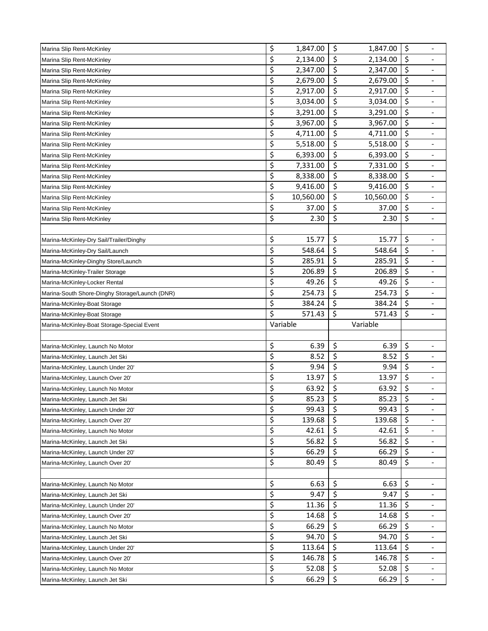| Marina Slip Rent-McKinley                      | \$       | 1,847.00  | \$       | 1,847.00       | \$       | $\overline{\phantom{0}}$ |
|------------------------------------------------|----------|-----------|----------|----------------|----------|--------------------------|
| Marina Slip Rent-McKinley                      | \$       | 2,134.00  | \$       | 2,134.00       | \$       |                          |
| Marina Slip Rent-McKinley                      | \$       | 2,347.00  | \$       | 2,347.00       | \$       |                          |
| Marina Slip Rent-McKinley                      | \$       | 2,679.00  | \$       | 2,679.00       | \$       |                          |
| Marina Slip Rent-McKinley                      | \$       | 2,917.00  | \$       | 2,917.00       | \$       |                          |
| Marina Slip Rent-McKinley                      | \$       | 3,034.00  | \$       | 3,034.00       | \$       | $\overline{\phantom{a}}$ |
| Marina Slip Rent-McKinley                      | \$       | 3,291.00  | \$       | 3,291.00       | \$       |                          |
| Marina Slip Rent-McKinley                      | \$       | 3,967.00  | \$       | 3,967.00       | \$       |                          |
| Marina Slip Rent-McKinley                      | \$       | 4,711.00  | \$       | 4,711.00       | \$       |                          |
| Marina Slip Rent-McKinley                      | \$       | 5,518.00  | \$       | 5,518.00       | \$       |                          |
| Marina Slip Rent-McKinley                      | \$       | 6,393.00  | \$       | 6,393.00       | \$       |                          |
| Marina Slip Rent-McKinley                      | \$       | 7,331.00  | \$       | 7,331.00       | \$       |                          |
| Marina Slip Rent-McKinley                      | \$       | 8,338.00  | \$       | 8,338.00       | \$       |                          |
| Marina Slip Rent-McKinley                      | \$       | 9,416.00  | \$       | 9,416.00       | \$       |                          |
|                                                | \$       | 10,560.00 | \$       | 10,560.00      | \$       | $\overline{\phantom{a}}$ |
| Marina Slip Rent-McKinley                      | \$       | 37.00     | \$       | 37.00          | \$       |                          |
| Marina Slip Rent-McKinley                      | \$       |           | \$       |                | \$       | $\overline{\phantom{a}}$ |
| Marina Slip Rent-McKinley                      |          | 2.30      |          | 2.30           |          |                          |
|                                                |          |           |          |                |          |                          |
| Marina-McKinley-Dry Sail/Trailer/Dinghy        | \$       | 15.77     | \$       | 15.77          | \$       |                          |
| Marina-McKinley-Dry Sail/Launch                | \$       | 548.64    | \$       | 548.64         | \$       |                          |
| Marina-McKinley-Dinghy Store/Launch            | \$       | 285.91    | \$       | 285.91         | \$       |                          |
| Marina-McKinley-Trailer Storage                | \$       | 206.89    | \$       | 206.89         | \$       |                          |
| Marina-McKinley-Locker Rental                  | \$       | 49.26     | \$       | 49.26          | \$       |                          |
| Marina-South Shore-Dinghy Storage/Launch (DNR) | \$       | 254.73    | \$       | 254.73         | \$       | $\overline{\phantom{a}}$ |
| Marina-McKinley-Boat Storage                   | \$       | 384.24    | \$       | 384.24         | \$       | $\overline{\phantom{a}}$ |
|                                                |          |           |          |                |          |                          |
| Marina-McKinley-Boat Storage                   | \$       | 571.43    | \$       | 571.43         | \$       | $\overline{\phantom{a}}$ |
| Marina-McKinley-Boat Storage-Special Event     |          | Variable  |          | Variable       |          |                          |
|                                                |          |           |          |                |          |                          |
| Marina-McKinley, Launch No Motor               | \$       | 6.39      | \$       | 6.39           | \$       |                          |
| Marina-McKinley, Launch Jet Ski                | \$       | 8.52      | \$       | 8.52           | \$       |                          |
| Marina-McKinley, Launch Under 20'              | \$       | 9.94      | \$       | 9.94           | \$       |                          |
| Marina-McKinley, Launch Over 20'               | \$       | 13.97     | \$       | 13.97          | \$       |                          |
| Marina-McKinley, Launch No Motor               | \$       | 63.92     | \$       | 63.92          | \$       | -                        |
| Marina-McKinley, Launch Jet Ski                | Ś        | 85.23     | \$       | 85.23          | \$       |                          |
| Marina-McKinley, Launch Under 20'              | \$       | 99.43     | \$       | 99.43          | \$       |                          |
| Marina-McKinley, Launch Over 20'               | \$       | 139.68    | \$       | 139.68         | \$       |                          |
| Marina-McKinley, Launch No Motor               | \$       | 42.61     | \$       | 42.61          | \$       | -                        |
| Marina-McKinley, Launch Jet Ski                | \$       | 56.82     | \$       | 56.82          | \$       | $\overline{\phantom{a}}$ |
| Marina-McKinley, Launch Under 20'              | \$       | 66.29     | \$       | 66.29          | \$       |                          |
| Marina-McKinley, Launch Over 20'               | \$       | 80.49     | \$       | 80.49          | \$       |                          |
|                                                |          |           |          |                |          |                          |
| Marina-McKinley, Launch No Motor               | \$       | 6.63      | \$       | 6.63           | \$       |                          |
| Marina-McKinley, Launch Jet Ski                | \$       | 9.47      | \$       | 9.47           | \$       | $\overline{\phantom{a}}$ |
| Marina-McKinley, Launch Under 20'              | \$       | 11.36     | \$       | 11.36          | \$       |                          |
| Marina-McKinley, Launch Over 20'               | \$       | 14.68     | \$       | 14.68          | \$       |                          |
| Marina-McKinley, Launch No Motor               | \$       | 66.29     | \$       | 66.29          | \$       | $\overline{\phantom{a}}$ |
| Marina-McKinley, Launch Jet Ski                | \$       | 94.70     | \$       | 94.70          | \$       | $\overline{\phantom{a}}$ |
| Marina-McKinley, Launch Under 20'              | \$       | 113.64    | \$       | 113.64         | \$       |                          |
| Marina-McKinley, Launch Over 20'               | \$       | 146.78    | \$       | 146.78         | \$       |                          |
| Marina-McKinley, Launch No Motor               | \$<br>\$ | 52.08     | \$<br>\$ | 52.08<br>66.29 | \$<br>\$ |                          |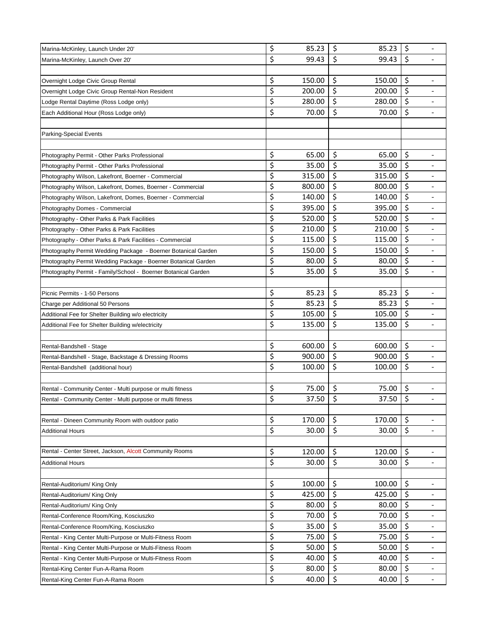| Marina-McKinley, Launch Under 20'                             | \$ | 85.23  | \$<br>85.23                       | \$<br>$\overline{\phantom{a}}$     |
|---------------------------------------------------------------|----|--------|-----------------------------------|------------------------------------|
| Marina-McKinley, Launch Over 20'                              | \$ | 99.43  | \$<br>99.43                       | \$                                 |
|                                                               |    |        |                                   |                                    |
| Overnight Lodge Civic Group Rental                            | \$ | 150.00 | \$<br>150.00                      | \$                                 |
| Overnight Lodge Civic Group Rental-Non Resident               | \$ | 200.00 | \$<br>200.00                      | \$                                 |
| Lodge Rental Daytime (Ross Lodge only)                        | \$ | 280.00 | \$<br>280.00                      | \$<br>-                            |
| Each Additional Hour (Ross Lodge only)                        | \$ | 70.00  | \$<br>70.00                       | \$                                 |
|                                                               |    |        |                                   |                                    |
| Parking-Special Events                                        |    |        |                                   |                                    |
|                                                               |    |        |                                   |                                    |
| Photography Permit - Other Parks Professional                 | \$ | 65.00  | \$<br>65.00                       | \$                                 |
| Photography Permit - Other Parks Professional                 | \$ | 35.00  | \$<br>35.00                       | \$                                 |
| Photography Wilson, Lakefront, Boerner - Commercial           | \$ | 315.00 | \$<br>315.00                      | \$                                 |
| Photography Wilson, Lakefront, Domes, Boerner - Commercial    | \$ | 800.00 | \$<br>800.00                      | \$                                 |
| Photography Wilson, Lakefront, Domes, Boerner - Commercial    | \$ | 140.00 | \$<br>140.00                      | \$<br>$\overline{\phantom{a}}$     |
| Photography Domes - Commercial                                | \$ | 395.00 | \$<br>395.00                      | \$                                 |
| Photography - Other Parks & Park Facilities                   | \$ | 520.00 | \$<br>520.00                      | \$                                 |
| Photography - Other Parks & Park Facilities                   | \$ | 210.00 | \$<br>210.00                      | \$                                 |
| Photography - Other Parks & Park Facilities - Commercial      | \$ | 115.00 | \$<br>115.00                      | \$                                 |
| Photography Permit Wedding Package - Boerner Botanical Garden | \$ | 150.00 | \$<br>150.00                      | \$                                 |
| Photography Permit Wedding Package - Boerner Botanical Garden | \$ | 80.00  | \$<br>80.00                       | \$                                 |
| Photography Permit - Family/School - Boerner Botanical Garden | \$ | 35.00  | \$<br>35.00                       | \$<br>$\overline{\phantom{a}}$     |
|                                                               |    |        |                                   |                                    |
| Picnic Permits - 1-50 Persons                                 | \$ | 85.23  | \$<br>85.23                       | \$<br>$\qquad \qquad \blacksquare$ |
| Charge per Additional 50 Persons                              | \$ | 85.23  | \$<br>85.23                       | \$<br>$\overline{\phantom{a}}$     |
| Additional Fee for Shelter Building w/o electricity           | \$ | 105.00 | \$<br>105.00                      | \$                                 |
| Additional Fee for Shelter Building w/electricity             | \$ | 135.00 | \$<br>135.00                      | \$                                 |
|                                                               |    |        |                                   |                                    |
| Rental-Bandshell - Stage                                      | \$ | 600.00 | \$<br>600.00                      | \$                                 |
| Rental-Bandshell - Stage, Backstage & Dressing Rooms          | \$ | 900.00 | \$<br>900.00                      | \$                                 |
| Rental-Bandshell (additional hour)                            | \$ | 100.00 | \$<br>100.00                      | \$                                 |
|                                                               |    |        |                                   |                                    |
| Rental - Community Center - Multi purpose or multi fitness    | \$ | 75.00  | \$<br>75.00                       | \$<br>$\qquad \qquad \blacksquare$ |
| Rental - Community Center - Multi purpose or multi fitness    | Ś  | 37.50  | $\overline{\mathcal{S}}$<br>37.50 | \$                                 |
|                                                               |    |        |                                   |                                    |
| Rental - Dineen Community Room with outdoor patio             | \$ | 170.00 | \$<br>170.00                      | \$                                 |
| <b>Additional Hours</b>                                       | \$ | 30.00  | \$<br>30.00                       | \$<br>-                            |
|                                                               |    |        |                                   |                                    |
| Rental - Center Street, Jackson, Alcott Community Rooms       | \$ | 120.00 | \$<br>120.00                      | \$                                 |
| <b>Additional Hours</b>                                       | \$ | 30.00  | \$<br>30.00                       | \$                                 |
|                                                               |    |        |                                   |                                    |
| Rental-Auditorium/ King Only                                  | \$ | 100.00 | \$<br>100.00                      | \$                                 |
| Rental-Auditorium/ King Only                                  | \$ | 425.00 | \$<br>425.00                      | \$<br>$\overline{\phantom{a}}$     |
| Rental-Auditorium/ King Only                                  | \$ | 80.00  | \$<br>80.00                       | \$                                 |
| Rental-Conference Room/King, Kosciuszko                       | \$ | 70.00  | \$<br>70.00                       | \$                                 |
| Rental-Conference Room/King, Kosciuszko                       | \$ | 35.00  | \$<br>35.00                       | \$                                 |
| Rental - King Center Multi-Purpose or Multi-Fitness Room      | \$ | 75.00  | \$<br>75.00                       | \$<br>$\overline{\phantom{a}}$     |
| Rental - King Center Multi-Purpose or Multi-Fitness Room      | \$ | 50.00  | \$<br>50.00                       | \$                                 |
| Rental - King Center Multi-Purpose or Multi-Fitness Room      | \$ | 40.00  | \$<br>40.00                       | \$                                 |
| Rental-King Center Fun-A-Rama Room                            | \$ | 80.00  | \$<br>80.00                       | \$                                 |
| Rental-King Center Fun-A-Rama Room                            | \$ | 40.00  | \$<br>40.00                       | \$<br>$\overline{\phantom{a}}$     |
|                                                               |    |        |                                   |                                    |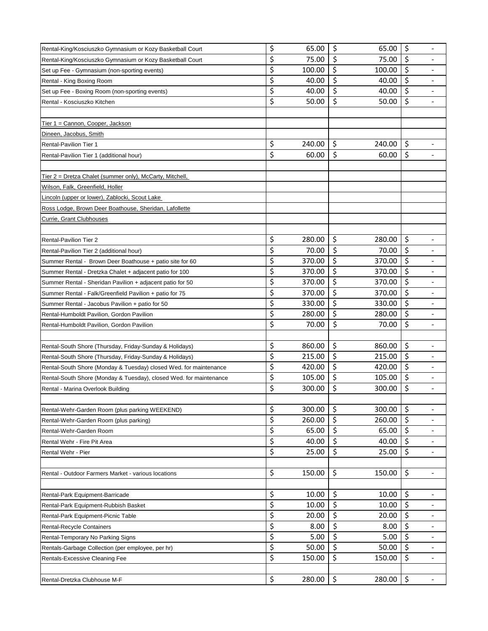| Rental-King/Kosciuszko Gymnasium or Kozy Basketball Court          | \$<br>65.00  | \$<br>65.00  | \$<br>$\overline{a}$           |
|--------------------------------------------------------------------|--------------|--------------|--------------------------------|
| Rental-King/Kosciuszko Gymnasium or Kozy Basketball Court          | \$<br>75.00  | \$<br>75.00  | \$                             |
| Set up Fee - Gymnasium (non-sporting events)                       | \$<br>100.00 | \$<br>100.00 | \$                             |
| Rental - King Boxing Room                                          | \$<br>40.00  | \$<br>40.00  | \$                             |
| Set up Fee - Boxing Room (non-sporting events)                     | \$<br>40.00  | \$<br>40.00  | \$                             |
| Rental - Kosciuszko Kitchen                                        | \$<br>50.00  | \$<br>50.00  | \$<br>$\overline{\phantom{a}}$ |
|                                                                    |              |              |                                |
| Tier 1 = Cannon, Cooper, Jackson                                   |              |              |                                |
| Dineen, Jacobus, Smith                                             |              |              |                                |
| <b>Rental-Pavilion Tier 1</b>                                      | \$<br>240.00 | \$<br>240.00 | \$                             |
| Rental-Pavilion Tier 1 (additional hour)                           | \$<br>60.00  | \$<br>60.00  | \$<br>$\overline{\phantom{a}}$ |
|                                                                    |              |              |                                |
| <u>Tier 2 = Dretza Chalet (summer only), McCarty, Mitchell,</u>    |              |              |                                |
| Wilson, Falk, Greenfield, Holler                                   |              |              |                                |
| Lincoln (upper or lower), Zablocki, Scout Lake                     |              |              |                                |
| Ross Lodge, Brown Deer Boathouse, Sheridan, Lafollette             |              |              |                                |
| Currie, Grant Clubhouses                                           |              |              |                                |
|                                                                    |              |              |                                |
| <b>Rental-Pavilion Tier 2</b>                                      | \$<br>280.00 | \$<br>280.00 | \$                             |
| Rental-Pavilion Tier 2 (additional hour)                           | \$<br>70.00  | \$<br>70.00  | \$<br>$\overline{\phantom{0}}$ |
| Summer Rental - Brown Deer Boathouse + patio site for 60           | \$<br>370.00 | \$<br>370.00 | \$                             |
| Summer Rental - Dretzka Chalet + adjacent patio for 100            | \$<br>370.00 | \$<br>370.00 | \$                             |
| Summer Rental - Sheridan Pavilion + adjacent patio for 50          | \$<br>370.00 | \$<br>370.00 | \$                             |
| Summer Rental - Falk/Greenfield Pavilion + patio for 75            | \$<br>370.00 | \$<br>370.00 | \$<br>$\overline{\phantom{a}}$ |
| Summer Rental - Jacobus Pavilion + patio for 50                    | \$<br>330.00 | \$<br>330.00 | \$<br>$\overline{\phantom{0}}$ |
| Rental-Humboldt Pavilion, Gordon Pavilion                          | \$<br>280.00 | \$<br>280.00 | \$                             |
| Rental-Humboldt Pavilion, Gordon Pavilion                          | \$<br>70.00  | \$<br>70.00  | \$                             |
|                                                                    |              |              |                                |
| Rental-South Shore (Thursday, Friday-Sunday & Holidays)            | \$<br>860.00 | \$<br>860.00 | \$                             |
| Rental-South Shore (Thursday, Friday-Sunday & Holidays)            | \$<br>215.00 | \$<br>215.00 | \$                             |
| Rental-South Shore (Monday & Tuesday) closed Wed. for maintenance  | \$<br>420.00 | \$<br>420.00 | \$                             |
| Rental-South Shore (Monday & Tuesday), closed Wed. for maintenance | \$<br>105.00 | \$<br>105.00 | \$                             |
| Rental - Marina Overlook Building                                  | \$<br>300.00 | \$<br>300.00 | \$<br>$\overline{\phantom{a}}$ |
|                                                                    |              |              |                                |
| Rental-Wehr-Garden Room (plus parking WEEKEND)                     | \$<br>300.00 | \$<br>300.00 | \$                             |
| Rental-Wehr-Garden Room (plus parking)                             | \$<br>260.00 | \$<br>260.00 | \$                             |
| Rental-Wehr-Garden Room                                            | \$<br>65.00  | \$<br>65.00  | \$<br>-                        |
| Rental Wehr - Fire Pit Area                                        | \$<br>40.00  | \$<br>40.00  | \$<br>$\overline{\phantom{a}}$ |
| Rental Wehr - Pier                                                 | \$<br>25.00  | \$<br>25.00  | \$                             |
|                                                                    |              |              |                                |
| Rental - Outdoor Farmers Market - various locations                | \$<br>150.00 | \$<br>150.00 | \$                             |
|                                                                    |              |              |                                |
| Rental-Park Equipment-Barricade                                    | \$<br>10.00  | \$<br>10.00  | \$<br>$\overline{\phantom{a}}$ |
| Rental-Park Equipment-Rubbish Basket                               | \$<br>10.00  | \$<br>10.00  | \$                             |
| Rental-Park Equipment-Picnic Table                                 | \$<br>20.00  | \$<br>20.00  | \$                             |
| Rental-Recycle Containers                                          | \$<br>8.00   | \$<br>8.00   | \$<br>$\overline{\phantom{0}}$ |
| Rental-Temporary No Parking Signs                                  | \$<br>5.00   | \$<br>5.00   | \$<br>$\overline{\phantom{a}}$ |
| Rentals-Garbage Collection (per employee, per hr)                  | \$<br>50.00  | \$<br>50.00  | \$<br>$\overline{\phantom{0}}$ |
| Rentals-Excessive Cleaning Fee                                     | \$<br>150.00 | \$<br>150.00 | \$<br>$\overline{\phantom{0}}$ |
|                                                                    |              |              |                                |
| Rental-Dretzka Clubhouse M-F                                       | \$<br>280.00 | \$<br>280.00 | \$<br>$\overline{\phantom{a}}$ |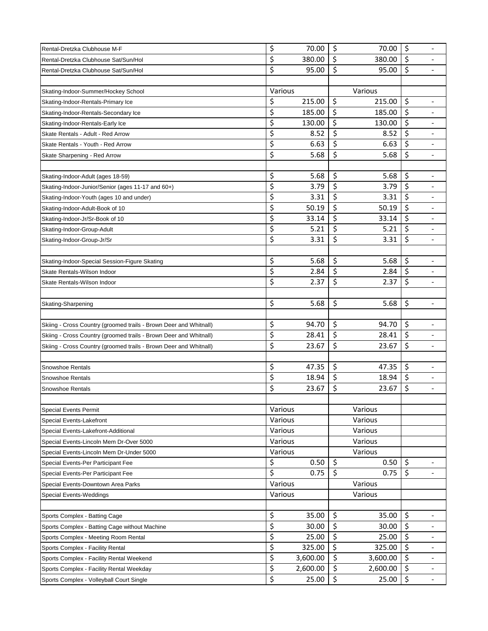| Rental-Dretzka Clubhouse M-F                                      | \$<br>70.00    | \$<br>70.00    | \$<br>$\overline{\phantom{a}}$     |
|-------------------------------------------------------------------|----------------|----------------|------------------------------------|
| Rental-Dretzka Clubhouse Sat/Sun/Hol                              | \$<br>380.00   | \$<br>380.00   | $\zeta$                            |
| Rental-Dretzka Clubhouse Sat/Sun/Hol                              | \$<br>95.00    | \$<br>95.00    | \$                                 |
|                                                                   |                |                |                                    |
| Skating-Indoor-Summer/Hockey School                               | Various        | Various        |                                    |
| Skating-Indoor-Rentals-Primary Ice                                | \$<br>215.00   | \$<br>215.00   | \$<br>$\qquad \qquad \blacksquare$ |
| Skating-Indoor-Rentals-Secondary Ice                              | \$<br>185.00   | \$<br>185.00   | \$                                 |
| Skating-Indoor-Rentals-Early Ice                                  | \$<br>130.00   | \$<br>130.00   | \$                                 |
| Skate Rentals - Adult - Red Arrow                                 | \$<br>8.52     | \$<br>8.52     | \$                                 |
| Skate Rentals - Youth - Red Arrow                                 | \$<br>6.63     | \$<br>6.63     | \$                                 |
| Skate Sharpening - Red Arrow                                      | \$<br>5.68     | \$<br>5.68     | \$<br>$\overline{\phantom{a}}$     |
|                                                                   |                |                |                                    |
| Skating-Indoor-Adult (ages 18-59)                                 | \$<br>5.68     | \$<br>5.68     | \$                                 |
| Skating-Indoor-Junior/Senior (ages 11-17 and 60+)                 | \$<br>3.79     | \$<br>3.79     | \$                                 |
| Skating-Indoor-Youth (ages 10 and under)                          | \$<br>3.31     | \$<br>3.31     | \$<br>$\overline{\phantom{a}}$     |
| Skating-Indoor-Adult-Book of 10                                   | \$<br>50.19    | \$<br>50.19    | \$                                 |
| Skating-Indoor-Jr/Sr-Book of 10                                   | \$<br>33.14    | \$<br>33.14    | \$                                 |
| Skating-Indoor-Group-Adult                                        | \$<br>5.21     | \$<br>5.21     | \$                                 |
| Skating-Indoor-Group-Jr/Sr                                        | \$<br>3.31     | \$<br>3.31     | \$                                 |
|                                                                   |                |                |                                    |
| Skating-Indoor-Special Session-Figure Skating                     | \$<br>5.68     | \$<br>5.68     | \$                                 |
| Skate Rentals-Wilson Indoor                                       | \$<br>2.84     | \$<br>2.84     | \$                                 |
| Skate Rentals-Wilson Indoor                                       | \$<br>2.37     | \$<br>2.37     | \$                                 |
|                                                                   |                |                |                                    |
| Skating-Sharpening                                                | \$<br>5.68     | \$<br>5.68     | $\zeta$<br>$\blacksquare$          |
|                                                                   |                |                |                                    |
| Skiing - Cross Country (groomed trails - Brown Deer and Whitnall) | \$<br>94.70    | \$<br>94.70    | \$                                 |
| Skiing - Cross Country (groomed trails - Brown Deer and Whitnall) | \$<br>28.41    | \$<br>28.41    | \$                                 |
| Skiing - Cross Country (groomed trails - Brown Deer and Whitnall) | \$<br>23.67    | \$<br>23.67    | \$                                 |
|                                                                   |                |                |                                    |
| Snowshoe Rentals                                                  | \$<br>47.35    | \$<br>47.35    | \$                                 |
| Snowshoe Rentals                                                  | \$<br>18.94    | \$<br>18.94    | \$                                 |
| Snowshoe Rentals                                                  | \$<br>23.67    | \$<br>23.67    | \$<br>$\overline{\phantom{a}}$     |
|                                                                   |                |                |                                    |
| <b>Special Events Permit</b>                                      | Various        | Various        |                                    |
| Special Events-Lakefront                                          | Various        | Various        |                                    |
| Special Events-Lakefront-Additional                               | Various        | Various        |                                    |
| Special Events-Lincoln Mem Dr-Over 5000                           | Various        | Various        |                                    |
| Special Events-Lincoln Mem Dr-Under 5000                          | Various        | Various        |                                    |
| Special Events-Per Participant Fee                                | \$<br>0.50     | \$<br>0.50     | \$                                 |
| Special Events-Per Participant Fee                                | \$<br>0.75     | \$<br>0.75     | $\zeta$                            |
| Special Events-Downtown Area Parks                                | Various        | Various        |                                    |
| <b>Special Events-Weddings</b>                                    | Various        | Various        |                                    |
|                                                                   |                |                |                                    |
| Sports Complex - Batting Cage                                     | \$<br>35.00    | \$<br>35.00    | \$                                 |
| Sports Complex - Batting Cage without Machine                     | \$<br>30.00    | \$<br>30.00    | \$                                 |
| Sports Complex - Meeting Room Rental                              | \$<br>25.00    | \$<br>25.00    | \$<br>$\overline{\phantom{a}}$     |
| Sports Complex - Facility Rental                                  | \$<br>325.00   | \$<br>325.00   | $\zeta$                            |
| Sports Complex - Facility Rental Weekend                          | \$<br>3,600.00 | \$<br>3,600.00 | $\zeta$                            |
| Sports Complex - Facility Rental Weekday                          | \$<br>2,600.00 | \$<br>2,600.00 | \$                                 |
| Sports Complex - Volleyball Court Single                          | \$<br>25.00    | \$<br>25.00    | \$<br>$\overline{\phantom{a}}$     |
|                                                                   |                |                |                                    |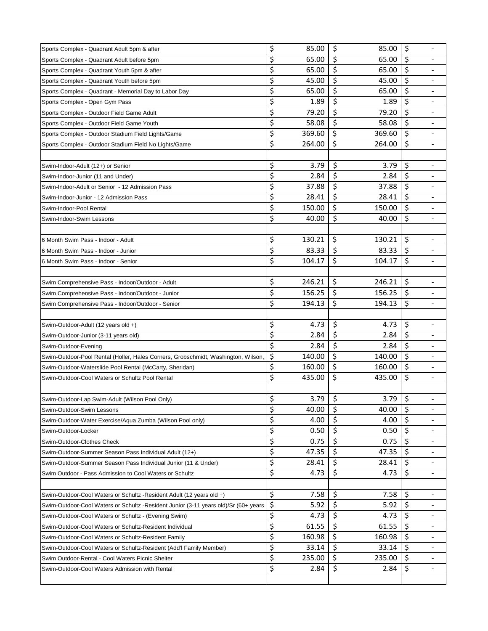| Sports Complex - Quadrant Adult 5pm & after                                         | \$       | 85.00  | \$       | 85.00  | \$      | $\overline{\phantom{a}}$ |
|-------------------------------------------------------------------------------------|----------|--------|----------|--------|---------|--------------------------|
| Sports Complex - Quadrant Adult before 5pm                                          | \$       | 65.00  | \$       | 65.00  | \$      |                          |
| Sports Complex - Quadrant Youth 5pm & after                                         | \$       | 65.00  | \$       | 65.00  | \$      |                          |
| Sports Complex - Quadrant Youth before 5pm                                          | \$       | 45.00  | \$       | 45.00  | \$      |                          |
| Sports Complex - Quadrant - Memorial Day to Labor Day                               | \$       | 65.00  | \$       | 65.00  | \$      |                          |
| Sports Complex - Open Gym Pass                                                      | \$       | 1.89   | \$       | 1.89   | \$      | $\overline{\phantom{a}}$ |
| Sports Complex - Outdoor Field Game Adult                                           | \$       | 79.20  | \$       | 79.20  | \$      |                          |
| Sports Complex - Outdoor Field Game Youth                                           | \$       | 58.08  | \$       | 58.08  | \$      |                          |
| Sports Complex - Outdoor Stadium Field Lights/Game                                  | \$       | 369.60 | \$       | 369.60 | \$      |                          |
| Sports Complex - Outdoor Stadium Field No Lights/Game                               | \$       | 264.00 | \$       | 264.00 | \$      |                          |
|                                                                                     |          |        |          |        |         |                          |
| Swim-Indoor-Adult (12+) or Senior                                                   | \$       | 3.79   | \$       | 3.79   | \$      |                          |
| Swim-Indoor-Junior (11 and Under)                                                   | \$       | 2.84   | \$       | 2.84   | \$      |                          |
| Swim-Indoor-Adult or Senior - 12 Admission Pass                                     | \$       | 37.88  | \$       | 37.88  | \$      |                          |
| Swim-Indoor-Junior - 12 Admission Pass                                              | \$       | 28.41  | \$       | 28.41  | \$      | $\overline{\phantom{a}}$ |
| Swim-Indoor-Pool Rental                                                             | \$       | 150.00 | \$       | 150.00 | \$      |                          |
| Swim-Indoor-Swim Lessons                                                            | \$       | 40.00  | \$       | 40.00  | \$      | $\overline{\phantom{a}}$ |
|                                                                                     |          |        |          |        |         |                          |
| 6 Month Swim Pass - Indoor - Adult                                                  | \$       | 130.21 | \$       | 130.21 | \$      |                          |
| 6 Month Swim Pass - Indoor - Junior                                                 | \$       | 83.33  | \$       | 83.33  | \$      | $\blacksquare$           |
| 6 Month Swim Pass - Indoor - Senior                                                 | \$       | 104.17 | \$       | 104.17 | \$      |                          |
|                                                                                     |          |        |          |        |         |                          |
| Swim Comprehensive Pass - Indoor/Outdoor - Adult                                    | \$       | 246.21 | \$       | 246.21 | \$      |                          |
| Swim Comprehensive Pass - Indoor/Outdoor - Junior                                   | \$       | 156.25 | \$       | 156.25 | \$      | $\overline{\phantom{a}}$ |
| Swim Comprehensive Pass - Indoor/Outdoor - Senior                                   | \$       | 194.13 | \$       | 194.13 | \$      | $\overline{\phantom{a}}$ |
|                                                                                     |          |        |          |        |         |                          |
| Swim-Outdoor-Adult (12 years old +)                                                 | \$       | 4.73   | \$       | 4.73   | \$      |                          |
| Swim-Outdoor-Junior (3-11 years old)                                                | \$       | 2.84   | \$       | 2.84   | \$      |                          |
| Swim-Outdoor-Evening                                                                | \$       | 2.84   | \$       | 2.84   | \$      |                          |
| Swim-Outdoor-Pool Rental (Holler, Hales Corners, Grobschmidt, Washington, Wilson    | \$       | 140.00 | \$       | 140.00 | \$      |                          |
| Swim-Outdoor-Waterslide Pool Rental (McCarty, Sheridan)                             | \$       | 160.00 | \$       | 160.00 | \$      |                          |
| Swim-Outdoor-Cool Waters or Schultz Pool Rental                                     | \$       | 435.00 | \$       | 435.00 | \$      |                          |
|                                                                                     |          |        |          |        |         |                          |
| Swim-Outdoor-Lap Swim-Adult (Wilson Pool Only)                                      | ς        | 3.79   | \$       | 3.79   | \$      |                          |
|                                                                                     | \$       | 40.00  | \$       | 40.00  | $\zeta$ |                          |
| Swim-Outdoor-Swim Lessons                                                           | \$       | 4.00   | \$       | 4.00   | \$      |                          |
| Swim-Outdoor-Water Exercise/Aqua Zumba (Wilson Pool only)                           |          |        |          |        |         |                          |
| Swim-Outdoor-Locker                                                                 | \$<br>\$ | 0.50   | \$<br>\$ | 0.50   | \$      |                          |
| Swim-Outdoor-Clothes Check                                                          |          | 0.75   |          | 0.75   | \$      | $\overline{\phantom{a}}$ |
| Swim-Outdoor-Summer Season Pass Individual Adult (12+)                              | \$       | 47.35  | \$       | 47.35  | \$      |                          |
| Swim-Outdoor-Summer Season Pass Individual Junior (11 & Under)                      | \$       | 28.41  | \$       | 28.41  | \$      |                          |
| Swim Outdoor - Pass Admission to Cool Waters or Schultz                             | \$       | 4.73   | \$       | 4.73   | $\zeta$ |                          |
|                                                                                     |          |        |          |        |         |                          |
| Swim-Outdoor-Cool Waters or Schultz - Resident Adult (12 years old +)               | \$       | 7.58   | \$       | 7.58   | \$      |                          |
| Swim-Outdoor-Cool Waters or Schultz -Resident Junior (3-11 years old)/Sr (60+ years | \$       | 5.92   | \$       | 5.92   | \$      |                          |
| Swim-Outdoor-Cool Waters or Schultz - (Evening Swim)                                | \$       | 4.73   | \$       | 4.73   | \$      |                          |
| Swim-Outdoor-Cool Waters or Schultz-Resident Individual                             | \$       | 61.55  | \$       | 61.55  | \$      |                          |
| Swim-Outdoor-Cool Waters or Schultz-Resident Family                                 | \$       | 160.98 | \$       | 160.98 | \$      | $\overline{\phantom{a}}$ |
| Swim-Outdoor-Cool Waters or Schultz-Resident (Add'l Family Member)                  | \$       | 33.14  | \$       | 33.14  | \$      |                          |
| Swim Outdoor-Rental - Cool Waters Picnic Shelter                                    | \$       | 235.00 | \$       | 235.00 | \$      |                          |
| Swim-Outdoor-Cool Waters Admission with Rental                                      | \$       | 2.84   | \$       | 2.84   | $\zeta$ |                          |
|                                                                                     |          |        |          |        |         |                          |